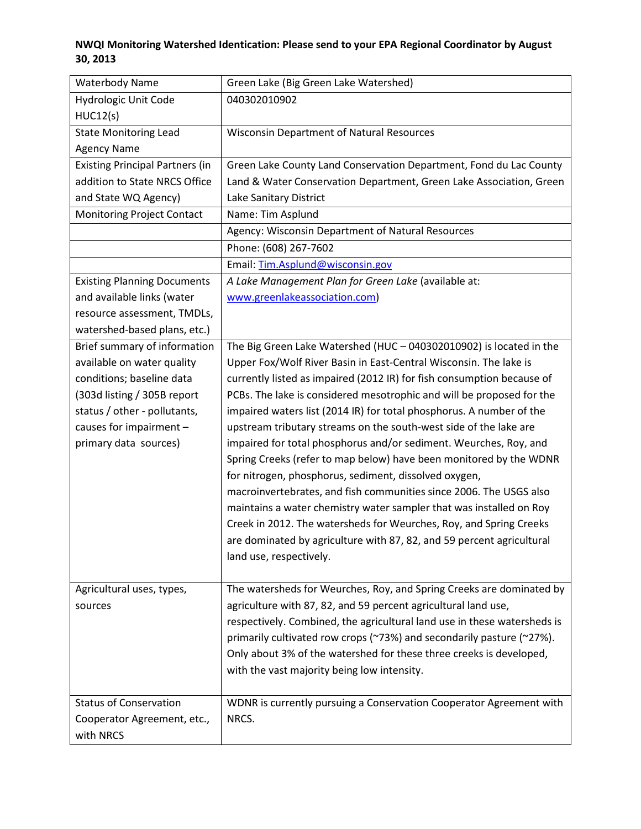## **NWQI Monitoring Watershed Identication: Please send to your EPA Regional Coordinator by August 30, 2013**

| <b>Waterbody Name</b>                  | Green Lake (Big Green Lake Watershed)                                               |
|----------------------------------------|-------------------------------------------------------------------------------------|
| Hydrologic Unit Code                   | 040302010902                                                                        |
| HUC12(s)                               |                                                                                     |
| <b>State Monitoring Lead</b>           | <b>Wisconsin Department of Natural Resources</b>                                    |
| <b>Agency Name</b>                     |                                                                                     |
| <b>Existing Principal Partners (in</b> | Green Lake County Land Conservation Department, Fond du Lac County                  |
| addition to State NRCS Office          | Land & Water Conservation Department, Green Lake Association, Green                 |
| and State WQ Agency)                   | Lake Sanitary District                                                              |
| Monitoring Project Contact             | Name: Tim Asplund                                                                   |
|                                        | Agency: Wisconsin Department of Natural Resources                                   |
|                                        | Phone: (608) 267-7602                                                               |
|                                        | Email: Tim.Asplund@wisconsin.gov                                                    |
| <b>Existing Planning Documents</b>     | A Lake Management Plan for Green Lake (available at:                                |
| and available links (water             | www.greenlakeassociation.com)                                                       |
| resource assessment, TMDLs,            |                                                                                     |
| watershed-based plans, etc.)           |                                                                                     |
| Brief summary of information           | The Big Green Lake Watershed (HUC - 040302010902) is located in the                 |
| available on water quality             | Upper Fox/Wolf River Basin in East-Central Wisconsin. The lake is                   |
| conditions; baseline data              | currently listed as impaired (2012 IR) for fish consumption because of              |
| (303d listing / 305B report            | PCBs. The lake is considered mesotrophic and will be proposed for the               |
| status / other - pollutants,           | impaired waters list (2014 IR) for total phosphorus. A number of the                |
| causes for impairment -                | upstream tributary streams on the south-west side of the lake are                   |
| primary data sources)                  | impaired for total phosphorus and/or sediment. Weurches, Roy, and                   |
|                                        | Spring Creeks (refer to map below) have been monitored by the WDNR                  |
|                                        | for nitrogen, phosphorus, sediment, dissolved oxygen,                               |
|                                        | macroinvertebrates, and fish communities since 2006. The USGS also                  |
|                                        | maintains a water chemistry water sampler that was installed on Roy                 |
|                                        | Creek in 2012. The watersheds for Weurches, Roy, and Spring Creeks                  |
|                                        | are dominated by agriculture with 87, 82, and 59 percent agricultural               |
|                                        | land use, respectively.                                                             |
|                                        |                                                                                     |
| Agricultural uses, types,              | The watersheds for Weurches, Roy, and Spring Creeks are dominated by                |
| sources                                | agriculture with 87, 82, and 59 percent agricultural land use,                      |
|                                        | respectively. Combined, the agricultural land use in these watersheds is            |
|                                        | primarily cultivated row crops ( $\sim$ 73%) and secondarily pasture ( $\sim$ 27%). |
|                                        | Only about 3% of the watershed for these three creeks is developed,                 |
|                                        | with the vast majority being low intensity.                                         |
|                                        |                                                                                     |
| <b>Status of Conservation</b>          | WDNR is currently pursuing a Conservation Cooperator Agreement with                 |
| Cooperator Agreement, etc.,            | NRCS.                                                                               |
| with NRCS                              |                                                                                     |